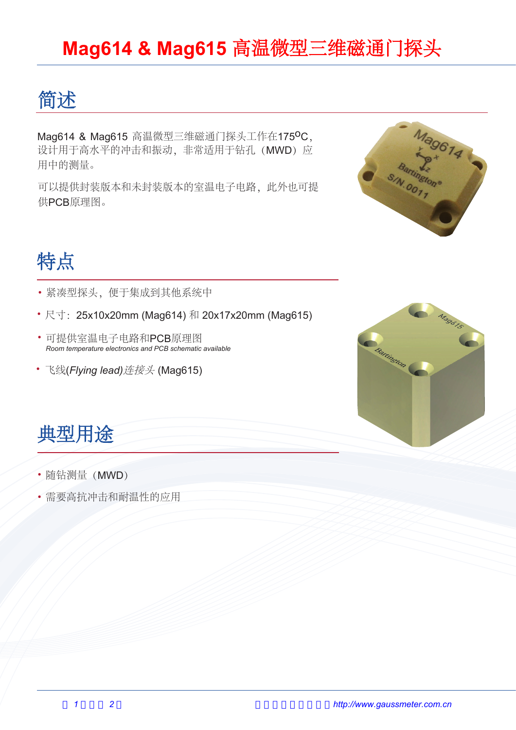#### **Mag614 & Mag615** 高温微型三维磁通门探头

### 简述

Mag614 & Mag615 高温微型三维磁通门探头工作在175<sup>0</sup>C, 设计用于高水平的冲击和振动, 非常适用于钻孔 (MWD) 应 用中的测量。

可以提供封装版本和未封装版本的室温电子电路,此外也可提 供PCB原理图。



## 特点

- 紧凑型探头,便于集成到其他系统中
- 尺寸: 25x10x20mm (Mag614) 和 20x17x20mm (Mag615)
- 可提供室温电子电路和PCB原理图 *Room temperature electronics and PCB schematic available*
- 飞线(*Flying lead)*连接头 (Mag615)



### 典型用途

- 随钻测量(MWD)
- 需要高抗冲击和耐温性的应用